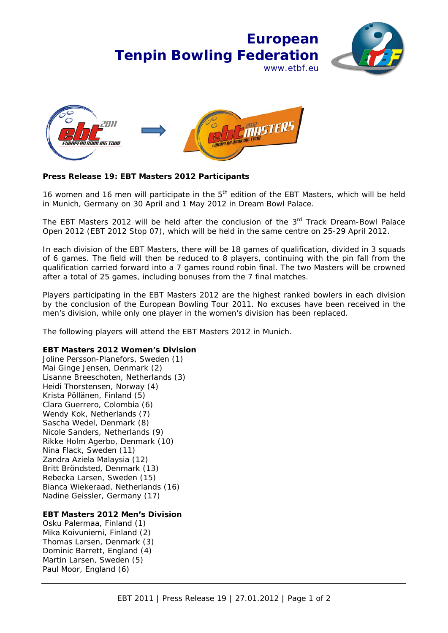## **European Tenpin Bowling Federation** www.ethf.eu





## **Press Release 19: EBT Masters 2012 Participants**

16 women and 16 men will participate in the  $5<sup>th</sup>$  edition of the EBT Masters, which will be held in Munich, Germany on 30 April and 1 May 2012 in Dream Bowl Palace.

The EBT Masters 2012 will be held after the conclusion of the 3<sup>rd</sup> Track Dream-Bowl Palace Open 2012 (EBT 2012 Stop 07), which will be held in the same centre on 25-29 April 2012.

In each division of the EBT Masters, there will be 18 games of qualification, divided in 3 squads of 6 games. The field will then be reduced to 8 players, continuing with the pin fall from the qualification carried forward into a 7 games round robin final. The two Masters will be crowned after a total of 25 games, including bonuses from the 7 final matches.

Players participating in the EBT Masters 2012 are the highest ranked bowlers in each division by the conclusion of the European Bowling Tour 2011. No excuses have been received in the men's division, while only one player in the women's division has been replaced.

The following players will attend the EBT Masters 2012 in Munich.

## **EBT Masters 2012 Women's Division**

Joline Persson-Planefors, Sweden (1) Mai Ginge Jensen, Denmark (2) Lisanne Breeschoten, Netherlands (3) Heidi Thorstensen, Norway (4) Krista Pöllänen, Finland (5) Clara Guerrero, Colombia (6) Wendy Kok, Netherlands (7) Sascha Wedel, Denmark (8) Nicole Sanders, Netherlands (9) Rikke Holm Agerbo, Denmark (10) Nina Flack, Sweden (11) Zandra Aziela Malaysia (12) Britt Bröndsted, Denmark (13) Rebecka Larsen, Sweden (15) Bianca Wiekeraad, Netherlands (16) Nadine Geissler, Germany (17)

## **EBT Masters 2012 Men's Division**

Osku Palermaa, Finland (1) Mika Koivuniemi, Finland (2) Thomas Larsen, Denmark (3) Dominic Barrett, England (4) Martin Larsen, Sweden (5) Paul Moor, England (6)